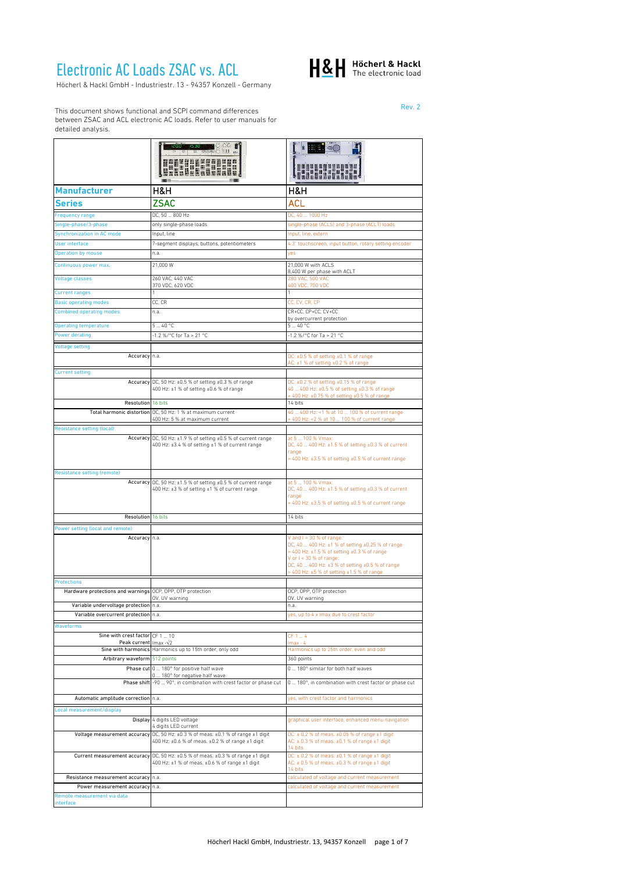## Electronic AC Loads ZSAC vs. ACL

Höcherl & Hackl GmbH - Industriestr. 13 - 94357 Konzell - Germany



Rev. 2

This document shows functional and SCPI command differences between ZSAC and ACL electronic AC loads. Refer to user manuals for detailed analysis.

|                                                                             | $OO$ $\blacksquare$<br><b>TILL BAH</b>                                                                                               |                                                                                                                                                                                                                                                                      |
|-----------------------------------------------------------------------------|--------------------------------------------------------------------------------------------------------------------------------------|----------------------------------------------------------------------------------------------------------------------------------------------------------------------------------------------------------------------------------------------------------------------|
|                                                                             | HUA                                                                                                                                  |                                                                                                                                                                                                                                                                      |
| <b>Manufacturer</b>                                                         | H&H                                                                                                                                  | H&H                                                                                                                                                                                                                                                                  |
| Series                                                                      | <b>ZSAC</b>                                                                                                                          | ACL                                                                                                                                                                                                                                                                  |
|                                                                             | DC, 50  800 Hz                                                                                                                       |                                                                                                                                                                                                                                                                      |
| Frequency range<br>Single-phase/3-phase                                     | only single-phase loads                                                                                                              | DC, 40  1000 Hz<br>single-phase (ACLS) and 3-phase (ACLT) loads                                                                                                                                                                                                      |
| <b>Synchronization in AC mode</b>                                           | Input, line                                                                                                                          | Input, line, extern                                                                                                                                                                                                                                                  |
| <b>User interface</b>                                                       | 7-segment displays, buttons, potentiometers                                                                                          | 4.3" touchscreen, input button, rotary setting encoder                                                                                                                                                                                                               |
| <b>Operation by mouse</b>                                                   | n.a.                                                                                                                                 | yes                                                                                                                                                                                                                                                                  |
| Continuous power max.                                                       | 21,000 W                                                                                                                             | 21,000 W with ACLS                                                                                                                                                                                                                                                   |
|                                                                             |                                                                                                                                      | 8,400 W per phase with ACLT                                                                                                                                                                                                                                          |
| <b>Voltage classes</b>                                                      | 260 VAC, 440 VAC<br>370 VDC, 620 VDC                                                                                                 | 280 VAC, 500 VAC<br>400 VDC, 700 VDC                                                                                                                                                                                                                                 |
| <b>Current ranges</b>                                                       | CC, CR                                                                                                                               | CC, CV, CR, CP                                                                                                                                                                                                                                                       |
| <b>Basic operating modes</b><br><b>Combined operating modes</b>             | n.a.                                                                                                                                 | CR+CC, CP+CC, CV+CC                                                                                                                                                                                                                                                  |
|                                                                             |                                                                                                                                      | by overcurrent protection                                                                                                                                                                                                                                            |
| <b>Operating temperature</b>                                                | 540 °C                                                                                                                               | 540 °C                                                                                                                                                                                                                                                               |
| <b>Power derating</b>                                                       | 1.2 %/°C for Ta > 21 °C                                                                                                              | -1.2 %/°C for Ta > 21 °C                                                                                                                                                                                                                                             |
| <b>Voltage setting</b>                                                      |                                                                                                                                      |                                                                                                                                                                                                                                                                      |
| Accuracy n.a.                                                               |                                                                                                                                      | DC: ±0.5 % of setting ±0.1 % of range<br>AC: ±1 % of setting ±0.2 % of range                                                                                                                                                                                         |
| <b>Current setting</b>                                                      |                                                                                                                                      |                                                                                                                                                                                                                                                                      |
|                                                                             | Accuracy DC, 50 Hz: ±0.5 % of setting ±0.3 % of range<br>400 Hz: ±1 % of setting ±0.6 % of range                                     | DC: ±0.2 % of setting ±0.15 % of range<br>40  400 Hz: ±0.5 % of setting ±0.3 % of range<br>> 400 Hz: ±0.75 % of setting ±0.5 % of range                                                                                                                              |
| Resolution 16 bits                                                          |                                                                                                                                      | 14 bits                                                                                                                                                                                                                                                              |
|                                                                             | Total harmonic distortion DC, 50 Hz: 1 % at maximum current                                                                          | 40  400 Hz: <1 % at 10  100 % of current range                                                                                                                                                                                                                       |
|                                                                             | 400 Hz: 5 % at maximum current                                                                                                       | > 400 Hz: <2 % at 10  100 % of current range                                                                                                                                                                                                                         |
| <b>Resistance setting (local)</b>                                           |                                                                                                                                      |                                                                                                                                                                                                                                                                      |
|                                                                             | Accuracy DC, 50 Hz: ±1.9 % of setting ±0.5 % of current range<br>400 Hz: ±3.4 % of setting ±1 % of current range                     | at 5  100 % Vmax:<br>DC, 40  400 Hz: ±1.5 % of setting ±0.3 % of current<br>range<br>> 400 Hz: ±3.5 % of setting ±0.5 % of current range                                                                                                                             |
| <b>Resistance setting (remote)</b>                                          |                                                                                                                                      |                                                                                                                                                                                                                                                                      |
|                                                                             | Accuracy DC, 50 Hz: ±1.5 % of setting ±0.5 % of current range<br>400 Hz: ±3 % of setting ±1 % of current range                       | at 5  100 % Vmax:<br>DC, 40  400 Hz: ±1.5 % of setting ±0.3 % of current<br>range<br>> 400 Hz: ±3.5 % of setting ±0.5 % of current range                                                                                                                             |
| Resolution 16 bits                                                          |                                                                                                                                      | 14 bits                                                                                                                                                                                                                                                              |
| Power setting (local and remote)                                            |                                                                                                                                      |                                                                                                                                                                                                                                                                      |
| Accuracy n.a.                                                               |                                                                                                                                      | V and I > 30 % of range:<br>DC, 40  400 Hz: ±1 % of setting ±0.25 % of range<br>> 400 Hz: ±1.5 % of setting ±0.3 % of range<br>V or $1 < 30$ % of range:<br>DC, 40  400 Hz: ±3 % of setting ±0.5 % of range<br>$> 400$ Hz: $\pm 5$ % of setting $\pm 1.5$ % of range |
| <b>Protections</b>                                                          |                                                                                                                                      |                                                                                                                                                                                                                                                                      |
| Hardware protections and warnings OCP, OPP, OTP protection                  | OV, UV warning                                                                                                                       | OCP, OPP, OTP protection<br>OV, UV warning                                                                                                                                                                                                                           |
| Variable undervoltage protection n.a.                                       |                                                                                                                                      | n.a.                                                                                                                                                                                                                                                                 |
| Variable overcurrent protection n.a.                                        |                                                                                                                                      | yes, up to 4 x Imax due to crest factor                                                                                                                                                                                                                              |
| Waveforms                                                                   |                                                                                                                                      |                                                                                                                                                                                                                                                                      |
| Sine with crest factor CF 1  10<br>Peak current Imax $\sqrt{2}$             |                                                                                                                                      | CF 1  4<br>$\sqrt{max + 4}$                                                                                                                                                                                                                                          |
|                                                                             | Sine with harmonics Harmonics up to 15th order, only odd                                                                             | Harmonics up to 25th order, even and odd                                                                                                                                                                                                                             |
| Arbitrary waveform 512 points                                               |                                                                                                                                      | 360 points                                                                                                                                                                                                                                                           |
|                                                                             | Phase cut 0  180° for positive half wave                                                                                             | 0  180° similar for both half waves                                                                                                                                                                                                                                  |
|                                                                             | 0  180° for negative half wave<br>Phase shift -90  90°, in combination with crest factor or phase cut                                | 0  180°, in combination with crest factor or phase cut                                                                                                                                                                                                               |
| Automatic amplitude correction                                              | n.a.                                                                                                                                 | yes, with crest factor and harmonics                                                                                                                                                                                                                                 |
| Local measurement/display                                                   |                                                                                                                                      |                                                                                                                                                                                                                                                                      |
| Display                                                                     | 4 digits LED voltage<br>4 digits LED current                                                                                         | graphical user interface, enhanced menu navigation                                                                                                                                                                                                                   |
|                                                                             | Voltage measurement accuracy DC, 50 Hz: ±0.3 % of meas. ±0.1 % of range ±1 digit<br>400 Hz: ±0.6 % of meas. ±0.2 % of range ±1 digit | DC: ± 0.2 % of meas. ±0.05 % of range ±1 digit<br>AC: $\pm$ 0.3 % of meas. $\pm$ 0.1 % of range $\pm$ 1 digit<br>14 bits                                                                                                                                             |
|                                                                             | Current measurement accuracy DC, 50 Hz: ±0.5 % of meas. ±0.3 % of range ±1 digit<br>400 Hz: ±1 % of meas. ±0.6 % of range ±1 digit   | DC: $\pm$ 0.2 % of meas. $\pm$ 0.1 % of range $\pm$ 1 digit<br>AC: $\pm$ 0.5 % of meas. $\pm$ 0.3 % of range $\pm$ 1 digit<br>14 bits                                                                                                                                |
| Resistance measurement accuracy n.a.                                        |                                                                                                                                      | calculated of voltage and current measurement                                                                                                                                                                                                                        |
| Power measurement accuracy n.a.<br>Remote measurement via data<br>interface |                                                                                                                                      | calculated of voltage and current measurement                                                                                                                                                                                                                        |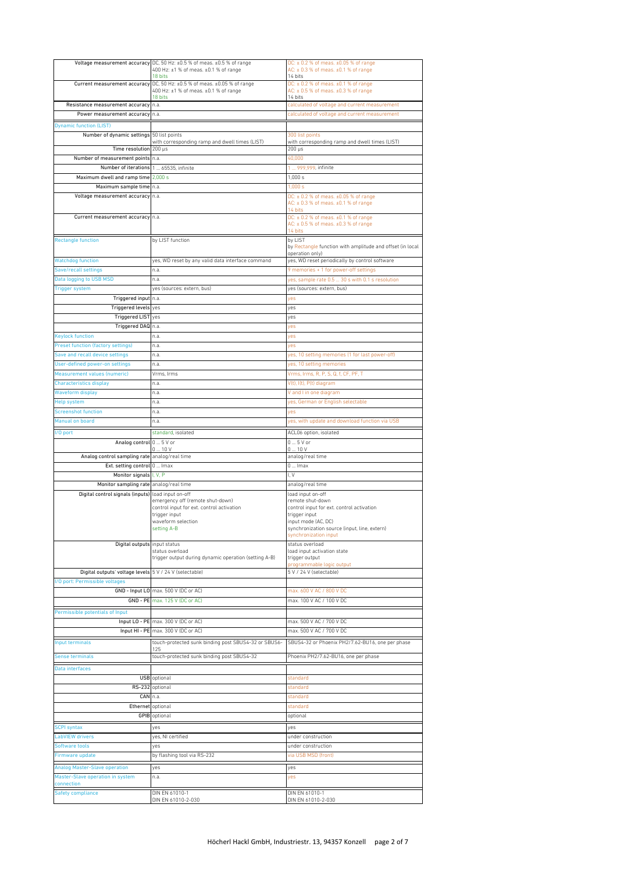|                                                         | Voltage measurement accuracy DC, 50 Hz: ±0.5 % of meas. ±0.5 % of range       | DC: ± 0.2 % of meas. ±0.05 % of range                             |  |
|---------------------------------------------------------|-------------------------------------------------------------------------------|-------------------------------------------------------------------|--|
|                                                         | 400 Hz: ±1 % of meas. ±0.1 % of range                                         | AC: $\pm$ 0.3 % of meas. $\pm$ 0.1 % of range                     |  |
|                                                         | 18 bits                                                                       | 14 bits                                                           |  |
|                                                         | Current measurement accuracy DC, 50 Hz: ±0.5 % of meas. ±0.05 % of range      | DC: ± 0.2 % of meas. ±0.1 % of range                              |  |
|                                                         | 400 Hz: ±1 % of meas. ±0.1 % of range<br>18 bits                              | AC: $\pm$ 0.5 % of meas. $\pm$ 0.3 % of range<br>14 bits          |  |
| Resistance measurement accuracy                         | n.a.                                                                          | calculated of voltage and current measurement                     |  |
| Power measurement accuracy n.a.                         |                                                                               | calculated of voltage and current measurement                     |  |
| <b>Dynamic function (LIST)</b>                          |                                                                               |                                                                   |  |
|                                                         |                                                                               |                                                                   |  |
| Number of dynamic settings 50 list points               | with corresponding ramp and dwell times (LIST)                                | 300 list points<br>with corresponding ramp and dwell times (LIST) |  |
| Time resolution 200 µs                                  |                                                                               | $200 \mu s$                                                       |  |
| Number of measurement points n.a.                       |                                                                               | 40,000                                                            |  |
| Number of iterations 1  65535, infinite                 |                                                                               | 1  999,999, infinite                                              |  |
| Maximum dwell and ramp time 2,000 s                     |                                                                               | 1,000 s                                                           |  |
| Maximum sample time n.a.<br>1,000 s                     |                                                                               |                                                                   |  |
| Voltage measurement accuracy n.a.                       |                                                                               | DC: ± 0.2 % of meas. ±0.05 % of range                             |  |
|                                                         |                                                                               | AC: $\pm$ 0.3 % of meas. $\pm$ 0.1 % of range                     |  |
|                                                         |                                                                               | 14 bits                                                           |  |
| Current measurement accuracy n.a.                       |                                                                               | DC: $\pm$ 0.2 % of meas. $\pm$ 0.1 % of range                     |  |
|                                                         |                                                                               | AC: $\pm$ 0.5 % of meas. $\pm$ 0.3 % of range<br>14 bits          |  |
| <b>Rectangle function</b>                               | by LIST function                                                              | by LIST                                                           |  |
|                                                         |                                                                               | by Rectangle function with amplitude and offset (in local         |  |
|                                                         |                                                                               | operation only)                                                   |  |
| <b>Watchdog function</b>                                | yes, WD reset by any valid data interface command                             | yes, WD reset periodically by control software                    |  |
| Save/recall settings                                    | n.a.                                                                          | 9 memories + 1 for power-off settings                             |  |
| Data logging to USB MSD                                 | n.a.                                                                          | yes, sample rate 0.5  30 s with 0.1 s resolution                  |  |
| <b>Trigger system</b>                                   | yes (sources: extern, bus)                                                    | yes (sources: extern, bus)                                        |  |
| Triggered input n.a.                                    |                                                                               | yes                                                               |  |
| Triggered levels yes                                    |                                                                               | ves                                                               |  |
| Triggered LIST yes                                      |                                                                               | yes                                                               |  |
| Triggered DAQ n.a.                                      |                                                                               | yes                                                               |  |
| <b>Keylock function</b>                                 | n.a.                                                                          | yes                                                               |  |
| <b>Preset function (factory settings)</b>               | n.a.                                                                          | ves                                                               |  |
| Save and recall device settings                         | n.a.                                                                          | yes, 10 setting memories (1 for last power-off)                   |  |
| <b>User-defined power-on settings</b>                   | n.a.                                                                          | yes, 10 setting memories                                          |  |
| Measurement values (numeric)                            | Vrms, Irms                                                                    | Vrms, Irms, R, P, S, Q, f, CF, PF, T                              |  |
| <b>Characteristics display</b>                          | n.a.                                                                          | V(t), I(t), P(t) diagram                                          |  |
| <b>Waveform display</b>                                 | n.a.                                                                          | V and I in one diagram                                            |  |
|                                                         |                                                                               |                                                                   |  |
| <b>Help system</b>                                      | n.a.                                                                          | yes, German or English selectable                                 |  |
| <b>Screenshot function</b>                              | n.a.                                                                          | yes                                                               |  |
| Manual on board                                         | n.a.                                                                          | yes, with update and download function via USB                    |  |
| I/O port                                                | standard, isolated                                                            | ACL06 option, isolated                                            |  |
|                                                         |                                                                               |                                                                   |  |
| Analog control 0  5 V or                                |                                                                               | $05V$ or                                                          |  |
|                                                         | $0 \dots 10 V$                                                                | 010V                                                              |  |
| Analog control sampling rate analog/real time           |                                                                               | analog/real time                                                  |  |
| Ext. setting control 0  Imax                            |                                                                               | $0 \dots$ Imax                                                    |  |
| Monitor signals I, V, P                                 |                                                                               | I, V                                                              |  |
| Monitor sampling rate analog/real time                  |                                                                               | analog/real time                                                  |  |
| Digital control signals (inputs) load input on-off      |                                                                               | load input on-off                                                 |  |
|                                                         | emergency off (remote shut-down)<br>control input for ext. control activation | remote shut-down<br>control input for ext. control activation     |  |
|                                                         | trigger input                                                                 | trigger input                                                     |  |
|                                                         | waveform selection                                                            | input mode (AC, DC)                                               |  |
|                                                         | setting A-B                                                                   | synchronization source (input, line, extern)                      |  |
|                                                         |                                                                               | synchronization input                                             |  |
| Digital outputs input status                            | status overload                                                               | status overload<br>load input activation state                    |  |
|                                                         | trigger output during dynamic operation (setting A-B)                         | trigger output                                                    |  |
|                                                         |                                                                               | programmable logic output                                         |  |
| Digital outputs' voltage levels 5 V / 24 V (selectable) |                                                                               | 5 V / 24 V (selectable)                                           |  |
| I/O port: Permissible voltages                          |                                                                               |                                                                   |  |
|                                                         | GND - Input LO max. 500 V (DC or AC)                                          | max. 600 V AC / 800 V DC                                          |  |
|                                                         | GND - PE max. 125 V (DC or AC)                                                | max. 100 V AC / 100 V DC                                          |  |
| Permissible potentials of Input                         |                                                                               |                                                                   |  |
|                                                         | Input LO - PE max. 300 V (DC or AC)                                           | max. 500 V AC / 700 V DC                                          |  |
|                                                         | Input HI - PE max. 300 V (DC or AC)                                           | max. 500 V AC / 700 V DC                                          |  |
| Input terminals                                         | touch-protected sunk binding post SBUS4-32 or SBUS6-                          | SBUS4-32 or Phoenix PH2/7.62-BU16, one per phase                  |  |
|                                                         | 125                                                                           |                                                                   |  |
| <b>Sense terminals</b>                                  | touch-protected sunk binding post SBUS4-32                                    | Phoenix PH2/7.62-BU16, one per phase                              |  |
| Data interfaces                                         |                                                                               |                                                                   |  |
|                                                         | <b>USB</b> optional                                                           | standard                                                          |  |
|                                                         | RS-232 optional                                                               | standard                                                          |  |
|                                                         | CAN n.a.                                                                      | standard                                                          |  |
| Ethernet optional                                       |                                                                               | standard                                                          |  |
|                                                         | <b>GPIB</b> optional                                                          | optional                                                          |  |
|                                                         |                                                                               |                                                                   |  |
| <b>SCPI syntax</b>                                      | yes                                                                           | yes                                                               |  |
| <b>LabVIEW drivers</b>                                  | yes, NI certified                                                             | under construction                                                |  |
| Software tools                                          | ves                                                                           | under construction                                                |  |
| Firmware update                                         | by flashing tool via RS-232                                                   | via USB MSD (front)                                               |  |
| <b>Analog Master-Slave operation</b>                    | yes                                                                           | yes                                                               |  |
| Master-Slave operation in system                        | n.a.                                                                          | yes                                                               |  |
| connection                                              |                                                                               |                                                                   |  |
| <b>Safety compliance</b>                                | DIN EN 61010-1<br>DIN EN 61010-2-030                                          | DIN EN 61010-1<br>DIN EN 61010-2-030                              |  |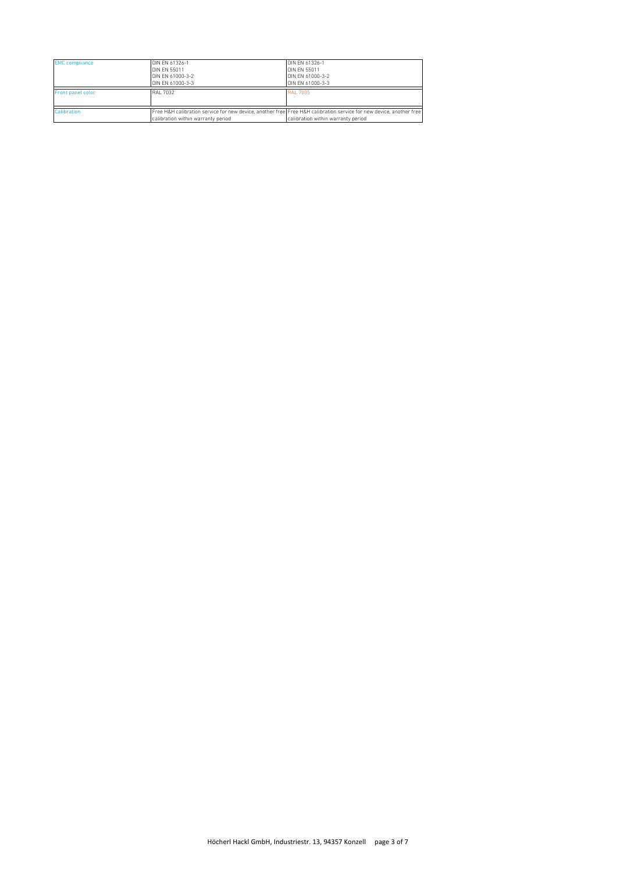| <b>EMC</b> compliance    | DIN EN 61326-1<br><b>DIN EN 55011</b><br>DIN EN 61000-3-2 | DIN EN 61326-1<br><b>DIN EN 55011</b><br>DIN EN 61000-3-2                                                           |
|--------------------------|-----------------------------------------------------------|---------------------------------------------------------------------------------------------------------------------|
|                          | DIN EN 61000-3-3                                          | DIN EN 61000-3-3                                                                                                    |
| <b>Front panel color</b> | RAI 7032                                                  | RAI 7035                                                                                                            |
|                          |                                                           |                                                                                                                     |
| Calibration              |                                                           | Free H&H calibration service for new device, another free Free H&H calibration service for new device, another free |
|                          | calibration within warranty period                        | calibration within warranty period                                                                                  |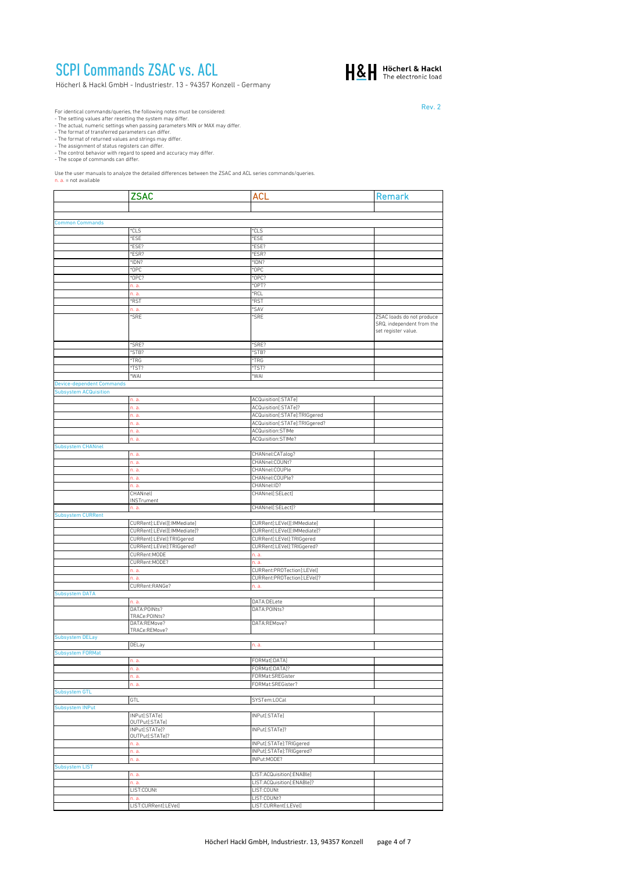## SCPI Commands ZSAC vs. ACL

Höcherl & Hackl GmbH - Industriestr. 13 - 94357 Konzell - Germany



Rev. 2

For identical commands/queries, the following notes must be considered:<br>For identical commons/queries, the following notes must differ.<br>The actual, numeric settings when passing parameters MIN or MAX may differ.<br>The format

Use the user manuals to analyze the detailed differences between the ZSAC and ACL series commands/queries.<br>n. a. = not available

|                                  | <b>ZSAC</b>                       | ACL                                                             | Remark                                                                        |
|----------------------------------|-----------------------------------|-----------------------------------------------------------------|-------------------------------------------------------------------------------|
|                                  |                                   |                                                                 |                                                                               |
|                                  |                                   |                                                                 |                                                                               |
| <b>Common Commands</b>           | *CLS                              | *CLS                                                            |                                                                               |
|                                  | *ESE                              | *ESE                                                            |                                                                               |
|                                  | *ESE?                             | *ESE?                                                           |                                                                               |
|                                  | *ESR?                             | *ESR?                                                           |                                                                               |
|                                  | *IDN?                             | *IDN?                                                           |                                                                               |
|                                  | *OPC<br>*OPC?                     | *OPC<br>OPC?                                                    |                                                                               |
|                                  | n. a.                             | *OPT?                                                           |                                                                               |
|                                  | n. a.                             | *RCL                                                            |                                                                               |
|                                  | *RST                              | <b>RST</b>                                                      |                                                                               |
|                                  | n. a.                             | 'SAV                                                            |                                                                               |
|                                  | *SRE                              | *SRE                                                            | ZSAC loads do not produce<br>SRQ, independent from the<br>set register value. |
|                                  | *SRE?                             | 'SRE?                                                           |                                                                               |
|                                  | *STB?                             | *STB?                                                           |                                                                               |
|                                  | *TRG<br>*TST?                     | *TRG<br>*TST?                                                   |                                                                               |
|                                  | *WAI                              | 'WAI                                                            |                                                                               |
| <b>Device-dependent Commands</b> |                                   |                                                                 |                                                                               |
| <b>Subsystem ACQuisition</b>     |                                   |                                                                 |                                                                               |
|                                  | n. a.                             | ACQuisition[:STATe]                                             |                                                                               |
|                                  | n. a.                             | ACQuisition[:STATe]?                                            |                                                                               |
|                                  | n. a.<br>n. a.                    | ACQuisition[:STATe]:TRIGgered<br>ACQuisition[:STATe]:TRIGgered? |                                                                               |
|                                  | n. a.                             | ACQuisition:STIMe                                               |                                                                               |
|                                  | n. a.                             | ACQuisition:STIMe?                                              |                                                                               |
| Subsystem CHANnel                |                                   |                                                                 |                                                                               |
|                                  | n. a.                             | CHANnel:CATalog?                                                |                                                                               |
|                                  | n. a.                             | CHANnel:COUNt?                                                  |                                                                               |
|                                  | n. a.<br>n. a.                    | CHANnel:COUPle<br>CHANnel:COUPle?                               |                                                                               |
|                                  | n. a.                             | CHANnel:ID?                                                     |                                                                               |
|                                  | CHANnel                           | CHANnel[:SELect]                                                |                                                                               |
|                                  | INSTrument                        |                                                                 |                                                                               |
|                                  | n. a.                             | CHANnel[:SELect]?                                               |                                                                               |
| <b>Subsystem CURRent</b>         | CURRent[:LEVel][:IMMediate]       | CURRent[:LEVel][:IMMediate]                                     |                                                                               |
|                                  | CURRent[:LEVel][:IMMediate]?      | CURRent[:LEVel][:IMMediate]?                                    |                                                                               |
|                                  | CURRent[:LEVel]:TRIGgered         | CURRent[:LEVel]:TRIGgered                                       |                                                                               |
|                                  | CURRent[:LEVel]:TRIGgered?        | CURRent[:LEVel]:TRIGgered?                                      |                                                                               |
|                                  | CURRent:MODE                      | n. a.                                                           |                                                                               |
|                                  | CURRent:MODE?<br>n. a.            | n. a.<br>CURRent:PROTection[:LEVel]                             |                                                                               |
|                                  | n. a.                             | CURRent:PROTection[:LEVel]?                                     |                                                                               |
|                                  | CURRent:RANGe?                    | n. a.                                                           |                                                                               |
| Subsystem DATA                   |                                   |                                                                 |                                                                               |
|                                  | n. a.                             | DATA:DELete                                                     |                                                                               |
|                                  | DATA:POINts?<br>TRACe:POINts?     | DATA:POINts?                                                    |                                                                               |
|                                  | DATA:REMove?                      | DATA:REMove?                                                    |                                                                               |
|                                  | TRACe:REMove?                     |                                                                 |                                                                               |
| <b>Subsystem DELay</b>           | <b>DELay</b>                      |                                                                 |                                                                               |
|                                  |                                   | n. a.                                                           |                                                                               |
|                                  | n. a.                             | FORMat[:DATA]                                                   |                                                                               |
|                                  | n. a.                             | FORMat[:DATA]?                                                  |                                                                               |
|                                  | n. a.                             | FORMat:SREGister                                                |                                                                               |
|                                  | n. a.                             | FORMat:SREGister?                                               |                                                                               |
| Subsystem GTL                    | GTL                               | SYSTem:LOCal                                                    |                                                                               |
| Subsystem INPut                  |                                   |                                                                 |                                                                               |
|                                  | INPut[:STATe]                     | INPut[:STATe]                                                   |                                                                               |
|                                  | OUTPut[:STATe]                    |                                                                 |                                                                               |
|                                  | INPut[:STATe]?<br>OUTPut[:STATe]? | INPut[:STATe]?                                                  |                                                                               |
|                                  | n. a.                             | INPut[:STATe]:TRIGgered                                         |                                                                               |
|                                  | n. a.                             | INPut[:STATe]:TRIGgered?                                        |                                                                               |
|                                  | n. a.                             | INPut:MODE?                                                     |                                                                               |
| <b>Subsystem LIST</b>            |                                   |                                                                 |                                                                               |
|                                  | n. a.<br>n. a.                    | LIST:ACQuisition[:ENABle]<br>LIST:ACQuisition[:ENABle]?         |                                                                               |
|                                  | LIST:COUNt                        | LIST:COUNt                                                      |                                                                               |
|                                  | n. a.                             | LIST:COUNt?                                                     |                                                                               |
|                                  | LIST:CURRent[:LEVel]              | LIST:CURRent[:LEVel]                                            |                                                                               |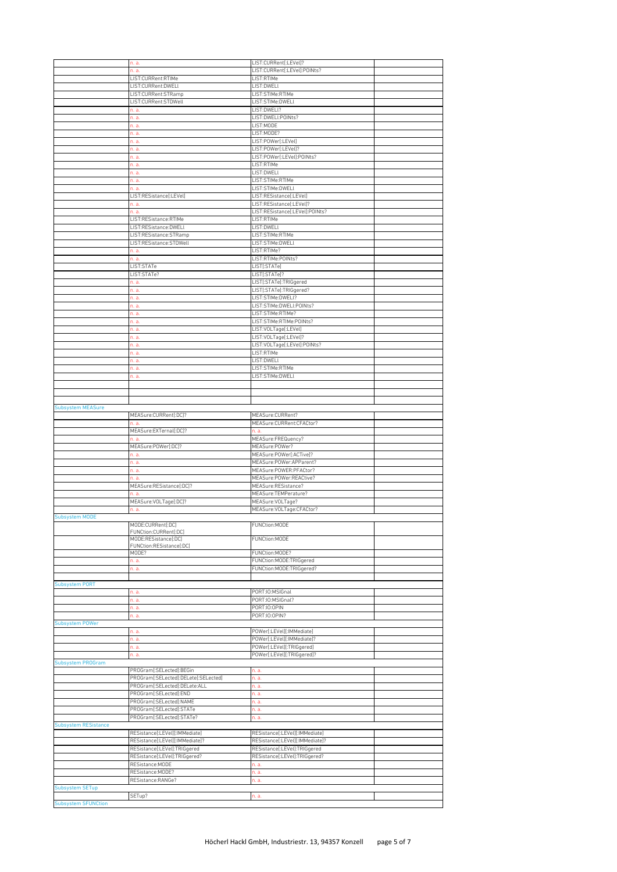|                             | n. a.                                | LIST:CURRent[:LEVel]?           |  |
|-----------------------------|--------------------------------------|---------------------------------|--|
|                             | n. a.                                | LIST:CURRent[:LEVel]:POINts?    |  |
|                             | LIST:CURRent:RTIMe                   | LIST:RTIMe                      |  |
|                             | LIST:CURRent:DWELl                   | LIST:DWELL                      |  |
|                             | LIST:CURRent:STRamp                  | LIST:STIMe:RTIMe                |  |
|                             |                                      | LIST:STIMe:DWELL                |  |
|                             | LIST:CURRent:STDWell                 |                                 |  |
|                             | n. a.                                | LIST:DWELl?                     |  |
|                             | n. a.                                | LIST:DWELL:POINts?              |  |
|                             | n. a.                                | LIST:MODE                       |  |
|                             | n. a.                                | LIST:MODE?                      |  |
|                             | n. a.                                | LIST:P0Wer[:LEVel]              |  |
|                             | n. a.                                | LIST:P0Wer[:LEVel]?             |  |
|                             | n. a.                                | LIST:POWer[:LEVel]:POINts?      |  |
|                             | n. a.                                | LIST:RTIMe                      |  |
|                             | n. a.                                | LIST:DWELI                      |  |
|                             | n. a.                                | LIST:STIMe:RTIMe                |  |
|                             | n. a.                                | LIST:STIMe:DWELl                |  |
|                             | LIST:RESistance[:LEVel]              | LIST:RESistance[:LEVel]         |  |
|                             | n. a.                                | LIST:RESistance[:LEVel]?        |  |
|                             |                                      |                                 |  |
|                             | n. a.                                | LIST:RESistance[:LEVel]:POINts? |  |
|                             | LIST:RESistance:RTIMe                | LIST:RTIMe                      |  |
|                             | LIST:RESistance:DWELl                | LIST:DWELI                      |  |
|                             | LIST:RESistance:STRamp               | LIST:STIMe:RTIMe                |  |
|                             | LIST:RESistance:STDWell              | LIST:STIMe:DWELL                |  |
|                             | n. a.                                | LIST:RTIMe?                     |  |
|                             | n. a.                                | LIST:RTIMe:POINts?              |  |
|                             | LIST:STATe                           | LIST[:STATe]                    |  |
|                             | LIST:STATe?                          | LIST[:STATe]?                   |  |
|                             | n. a.                                | LIST[:STATe]:TRIGgered          |  |
|                             |                                      | LIST[:STATe]:TRIGgered?         |  |
|                             | n. a.                                |                                 |  |
|                             | n. a.                                | LIST:STIMe:DWELI?               |  |
|                             | n. a.                                | LIST:STIMe:DWELL:POINts?        |  |
|                             | n. a.                                | LIST:STIMe:RTIMe?               |  |
|                             | n. a.                                | LIST:STIMe:RTIMe:POINts?        |  |
|                             | n. a.                                | LIST:VOLTage[:LEVel]            |  |
|                             | n. a.                                | LIST:VOLTage[:LEVel]?           |  |
|                             | n. a.                                | LIST:VOLTage[:LEVel]:POINts?    |  |
|                             | n. a.                                | LIST:RTIMe                      |  |
|                             | n. a.                                | LIST:DWELL                      |  |
|                             | n. a.                                | LIST:STIMe:RTIMe                |  |
|                             |                                      |                                 |  |
|                             | n. a.                                | LIST:STIMe:DWELL                |  |
|                             |                                      |                                 |  |
|                             |                                      |                                 |  |
|                             |                                      |                                 |  |
| <b>Subsystem MEASure</b>    |                                      |                                 |  |
|                             | MEASure:CURRent[:DC]?                | MEASure:CURRent?                |  |
|                             | n. a.                                | MEASure:CURRent:CFACtor?        |  |
|                             | MEASure:EXTernal[:DC]?               | n. a.                           |  |
|                             | n. a.                                | MEASure:FREQuency?              |  |
|                             |                                      |                                 |  |
|                             |                                      |                                 |  |
|                             | MEASure:POWer[:DC]?                  | MEASure:POWer?                  |  |
|                             | n. a.                                | MEASure:POWer[:ACTive]?         |  |
|                             | n. a.                                | MEASure:POWer:APParent?         |  |
|                             | n. a.                                | MEASure:POWER:PFACtor?          |  |
|                             | n. a.                                | MEASure:POWer:REACtive?         |  |
|                             | MEASure:RESistance[:DC]?             | MEASure:RESistance?             |  |
|                             |                                      | MEASure:TEMPerature?            |  |
|                             |                                      |                                 |  |
|                             | MEASure:VOLTage[:DC]?                | MEASure:VOLTage?                |  |
|                             | n. a.                                | MEASure:VOLTage:CFACtor?        |  |
| <b>Subsystem MODE</b>       |                                      |                                 |  |
|                             | MODE:CURRent[:DC]                    | FUNCtion:MODE                   |  |
|                             | FUNCtion:CURRent[:DC]                |                                 |  |
|                             | MODE:RESistance[:DC]                 | FUNCtion:MODE                   |  |
|                             | FUNCtion:RESistance[:DC]             |                                 |  |
|                             | MODE?                                | FUNCtion:MODE?                  |  |
|                             | n. a.                                | FUNCtion:MODE:TRIGgered         |  |
|                             | n. a.                                | FUNCtion:MODE:TRIGgered?        |  |
|                             |                                      |                                 |  |
| <b>Subsystem PORT</b>       |                                      |                                 |  |
|                             | n. a.                                | PORT:IO:MSIGnal                 |  |
|                             | n. a.                                | PORT:IO:MSIGnal?                |  |
|                             | n. a.                                | PORT:IO:OPIN                    |  |
|                             | n. a.                                | PORT:IO:OPIN?                   |  |
| <b>Subsystem POWer</b>      |                                      |                                 |  |
|                             | n. a.                                | POWer[:LEVel][:IMMediate]       |  |
|                             | n. a.                                | POWer[:LEVel][:IMMediate]?      |  |
|                             |                                      |                                 |  |
|                             | n. a.                                | POWer[:LEVel][:TRIGgered]       |  |
|                             | n. a.                                | POWer[:LEVel][:TRIGgered]?      |  |
| Subsystem PROGram           |                                      |                                 |  |
|                             | PROGram[:SELected]:BEGin             | n. a.                           |  |
|                             | PROGram[:SELected]:DELete[:SELected] | n. a.                           |  |
|                             | PROGram[:SELected]:DELete:ALL        | n. a.                           |  |
|                             | PROGram[:SELected]:END               | n. a.                           |  |
|                             | PROGram[:SELected]:NAME              | n. a.                           |  |
|                             | PROGram[:SELected]:STATe             | n. a.                           |  |
|                             | PROGram[:SELected]:STATe?            | n. a.                           |  |
| <b>Subsystem RESistance</b> |                                      |                                 |  |
|                             | RESistance[:LEVel][:IMMediate]       | RESistance[:LEVel][:IMMediate]  |  |
|                             | RESistance[:LEVel][:IMMediate]?      | RESistance[:LEVel][:IMMediate]? |  |
|                             |                                      |                                 |  |
|                             | RESistance[:LEVel]:TRIGgered         | RESistance[:LEVel]:TRIGgered    |  |
|                             | RESistance[:LEVel]:TRIGgered?        | RESistance[:LEVel]:TRIGgered?   |  |
|                             | RESistance:MODE                      | h, a.                           |  |
|                             | RESistance:MODE?                     | n. a.                           |  |
|                             | RESistance:RANGe?                    | n. a.                           |  |
| <b>Subsystem SETup</b>      |                                      |                                 |  |
| <b>Subsystem SFUNCtion</b>  | SETup?                               | n. a.                           |  |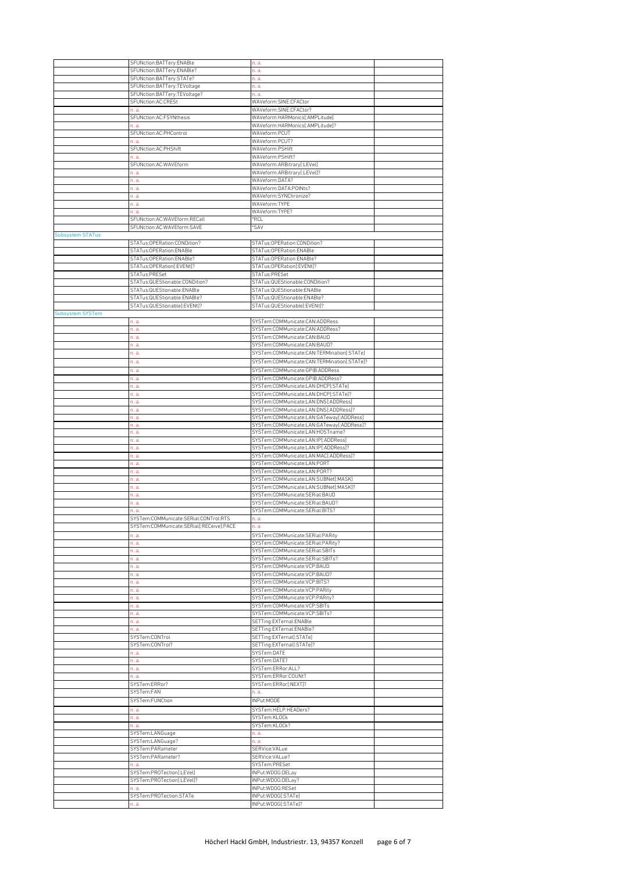|                         | SFUNction:BATTery:ENABle                 | n. a.                                       |  |
|-------------------------|------------------------------------------|---------------------------------------------|--|
|                         | SFUNction:BATTery:ENABle?                | n. a.                                       |  |
|                         |                                          |                                             |  |
|                         | SFUNction:BATTery:STATe?                 | n. a.                                       |  |
|                         | SFUNction:BATTery:TEVoltage              | n. a.                                       |  |
|                         | SFUNction:BATTery:TEVoltage?             | n. a.                                       |  |
|                         | SFUNction:AC:CRESt                       | WAVeform:SINE:CFACtor                       |  |
|                         | n. a.                                    | WAVeform:SINE:CFACtor?                      |  |
|                         | SFUNction:AC:FSYNthesis                  | WAVeform:HARMonics[:AMPLitude]              |  |
|                         | n. a.                                    | WAVeform:HARMonics[:AMPLitude]?             |  |
|                         | SFUNction:AC:PHControl                   | WAVeform:PCUT                               |  |
|                         | n. a                                     | WAVeform:PCUT?                              |  |
|                         | SFUNction:AC:PHShift                     | WAVeform:PSHift                             |  |
|                         | n. a                                     | WAVeform:PSHift?                            |  |
|                         | SFUNction:AC:WAVEform                    | WAVeform:ARBitrary[:LEVel]                  |  |
|                         | n. a.                                    | WAVeform:ARBitrary[:LEVel]?                 |  |
|                         |                                          | WAVeform:DATA?                              |  |
|                         | n. a.                                    |                                             |  |
|                         | n. a.                                    | WAVeform:DATA:POINts?                       |  |
|                         | n. a.                                    | WAVeform:SYNChronize?                       |  |
|                         | n. a.                                    | WAVeform:TYPE                               |  |
|                         | n. a.                                    | WAVeform:TYPE?                              |  |
|                         | SFUNction:AC:WAVEform:RECall             | *RCL                                        |  |
|                         | SFUNction:AC:WAVEform:SAVE               | <i><b>SAV</b></i>                           |  |
| Subsystem STATus        |                                          |                                             |  |
|                         | STATus:OPERation:CONDition?              | STATus:OPERation:CONDition?                 |  |
|                         | STATus: OPERation: ENABle                | STATus: OPERation: ENABle                   |  |
|                         | STATus:OPERation:ENABle?                 | STATus:OPERation:ENABle?                    |  |
|                         | STATus:OPERation[:EVENt]?                | STATus: OPERation[: EVENt]?                 |  |
|                         | STATus:PRESet                            | STATus:PRESet                               |  |
|                         | STATus:QUEStionable:CONDition?           | STATus:QUEStionable:CONDition?              |  |
|                         | STATus:QUEStionable:ENABle               | STATus:QUEStionable:ENABle                  |  |
|                         | STATus:QUEStionable:ENABle?              |                                             |  |
|                         |                                          | STATus:QUEStionable:ENABle?                 |  |
|                         | STATus:QUEStionable[:EVENt]?             | STATus:QUEStionable[:EVENt]?                |  |
| <b>Subsystem SYSTem</b> |                                          |                                             |  |
|                         | n. a.                                    | SYSTem:COMMunicate:CAN:ADDRess              |  |
|                         | n. a.                                    | SYSTem:COMMunicate:CAN:ADDRess?             |  |
|                         | n. a.                                    | SYSTem:COMMunicate:CAN:BAUD                 |  |
|                         | n. a.                                    | SYSTem:COMMunicate:CAN:BAUD?                |  |
|                         | n. a.                                    | SYSTem:COMMunicate:CAN:TERMination[:STATe]  |  |
|                         | n. a.                                    | SYSTem:COMMunicate:CAN:TERMination[:STATe]? |  |
|                         | n. a.                                    | SYSTem:COMMunicate:GPIB:ADDRess             |  |
|                         | n. a.                                    | SYSTem:COMMunicate:GPIB:ADDRess?            |  |
|                         | n. a.                                    | SYSTem:COMMunicate:LAN:DHCP[:STATe]         |  |
|                         | n. a.                                    | SYSTem:COMMunicate:LAN:DHCP[:STATe]?        |  |
|                         | n. a.                                    | SYSTem:COMMunicate:LAN:DNS[:ADDRess]        |  |
|                         | n. a.                                    | SYSTem:COMMunicate:LAN:DNS[:ADDRess]?       |  |
|                         | n. a.                                    | SYSTem:COMMunicate:LAN:GATeway[:ADDRess]    |  |
|                         | n. a.                                    | SYSTem:COMMunicate:LAN:GATeway[:ADDRess]?   |  |
|                         | n. a.                                    | SYSTem:COMMunicate:LAN:HOSTname?            |  |
|                         | n. a.                                    | SYSTem:COMMunicate:LAN:IP[:ADDRess]         |  |
|                         | n. a.                                    | SYSTem:COMMunicate:LAN:IP[:ADDRess]?        |  |
|                         | n. a.                                    | SYSTem:COMMunicate:LAN:MAC[:ADDRess]?       |  |
|                         | n. a.                                    | SYSTem:COMMunicate:LAN:PORT                 |  |
|                         | n. a.                                    | SYSTem:COMMunicate:LAN:PORT?                |  |
|                         | n. a.                                    | SYSTem:COMMunicate:LAN:SUBNet[:MASK]        |  |
|                         | n. a.                                    | SYSTem:COMMunicate:LAN:SUBNet[:MASK]?       |  |
|                         | n. a.                                    | SYSTem:COMMunicate:SERial:BAUD              |  |
|                         | n. a.                                    | SYSTem:COMMunicate:SERial:BAUD?             |  |
|                         | n. a.                                    | SYSTem:COMMunicate:SERial:BITS?             |  |
|                         | SYSTem:COMMunicate:SERial:CONTrol:RTS    | n. a.                                       |  |
|                         |                                          |                                             |  |
|                         |                                          |                                             |  |
|                         | SYSTem:COMMunicate:SERial[:RECeive]:PACE | n. a.                                       |  |
|                         | n. a.                                    | SYSTem:COMMunicate:SERial:PARity            |  |
|                         | n. a.                                    | SYSTem:COMMunicate:SERial:PARity?           |  |
|                         | n. a.                                    | SYSTem:COMMunicate:SERial:SBITs             |  |
|                         | n. a.                                    | SYSTem:COMMunicate:SERial:SBITs?            |  |
|                         | n. a.                                    | SYSTem:COMMunicate:VCP:BAUD                 |  |
|                         | n. a.                                    | SYSTem:COMMunicate:VCP:BAUD?                |  |
|                         | n. a.                                    | SYSTem:COMMunicate:VCP:BITS?                |  |
|                         | n. a.                                    | SYSTem:COMMunicate:VCP:PARity               |  |
|                         | n. a.                                    | SYSTem:COMMunicate:VCP:PARity?              |  |
|                         | n. a.                                    | SYSTem:COMMunicate:VCP:SBITs                |  |
|                         | n. a.                                    | SYSTem:COMMunicate:VCP:SBITs?               |  |
|                         | n. a.                                    | SETTing:EXTernal:ENABle                     |  |
|                         | n. a.                                    | SETTing:EXTernal:ENABle?                    |  |
|                         | SYSTem:CONTrol                           | SETTing:EXTernal[:STATe]                    |  |
|                         | SYSTem:CONTrol?                          | SETTing:EXTernal[:STATe]?                   |  |
|                         | n. a.                                    | SYSTem:DATE                                 |  |
|                         | n. a.                                    | SYSTem:DATE?                                |  |
|                         | n. a.                                    | SYSTem:ERRor:ALL?                           |  |
|                         | n. a.                                    | SYSTem:ERRor:COUNt?                         |  |
|                         | SYSTem:ERRor?                            | SYSTem:ERRor[:NEXT]?                        |  |
|                         | SYSTem:FAN                               | n. a.                                       |  |
|                         | SYSTem:FUNCtion                          | INPut:MODE                                  |  |
|                         | n. a.                                    | SYSTem:HELP:HEADers?                        |  |
|                         |                                          | SYSTem:KLOCk                                |  |
|                         | n. a.<br>n. a.                           | SYSTem:KLOCk?                               |  |
|                         |                                          | n. a.                                       |  |
|                         | SYSTem:LANGuage                          | n. a.                                       |  |
|                         | SYSTem:LANGuage?                         |                                             |  |
|                         | SYSTem:PARameter                         | SERVice:VALue                               |  |
|                         | SYSTem:PARameter?                        | SERVice:VALue?                              |  |
|                         | n. a.                                    | SYSTem:PRESet                               |  |
|                         | SYSTem:PROTection[:LEVel]                | INPut:WDOG:DELay                            |  |
|                         | SYSTem:PROTection[:LEVel]?               | INPut:WDOG:DELay?                           |  |
|                         |                                          | INPut:WDOG:RESet                            |  |
|                         | SYSTem:PROTection:STATe<br>n. a.         | INPut:WDOG[:STATe]<br>INPut:WDOG[:STATe]?   |  |